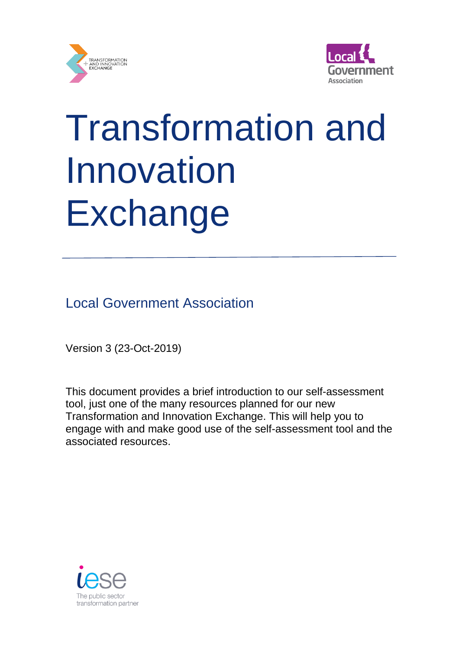



# Transformation and Innovation **Exchange**

Local Government Association

Version 3 (23-Oct-2019)

This document provides a brief introduction to our self-assessment tool, just one of the many resources planned for our new Transformation and Innovation Exchange. This will help you to engage with and make good use of the self-assessment tool and the associated resources.

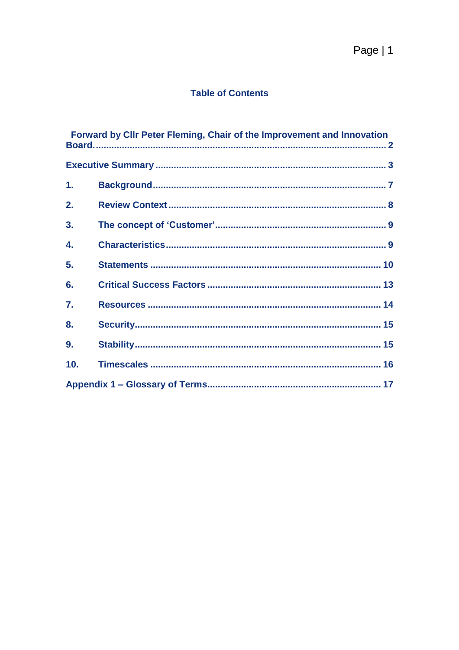#### **Table of Contents**

|                  | <b>Forward by Clir Peter Fleming, Chair of the Improvement and Innovation</b> |
|------------------|-------------------------------------------------------------------------------|
|                  |                                                                               |
| 1.               |                                                                               |
| 2.               |                                                                               |
| 3.               |                                                                               |
| 4.               |                                                                               |
| 5.               |                                                                               |
| 6.               |                                                                               |
| $\overline{7}$ . |                                                                               |
| 8.               |                                                                               |
| 9.               |                                                                               |
| 10.              |                                                                               |
|                  |                                                                               |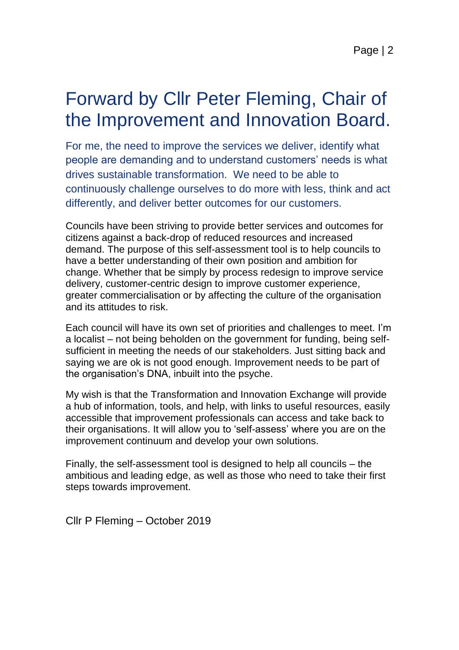# Forward by Cllr Peter Fleming, Chair of the Improvement and Innovation Board.

For me, the need to improve the services we deliver, identify what people are demanding and to understand customers' needs is what drives sustainable transformation. We need to be able to continuously challenge ourselves to do more with less, think and act differently, and deliver better outcomes for our customers.

Councils have been striving to provide better services and outcomes for citizens against a back-drop of reduced resources and increased demand. The purpose of this self-assessment tool is to help councils to have a better understanding of their own position and ambition for change. Whether that be simply by process redesign to improve service delivery, customer-centric design to improve customer experience, greater commercialisation or by affecting the culture of the organisation and its attitudes to risk.

Each council will have its own set of priorities and challenges to meet. I'm a localist – not being beholden on the government for funding, being selfsufficient in meeting the needs of our stakeholders. Just sitting back and saying we are ok is not good enough. Improvement needs to be part of the organisation's DNA, inbuilt into the psyche.

My wish is that the Transformation and Innovation Exchange will provide a hub of information, tools, and help, with links to useful resources, easily accessible that improvement professionals can access and take back to their organisations. It will allow you to 'self-assess' where you are on the improvement continuum and develop your own solutions.

Finally, the self-assessment tool is designed to help all councils – the ambitious and leading edge, as well as those who need to take their first steps towards improvement.

Cllr P Fleming – October 2019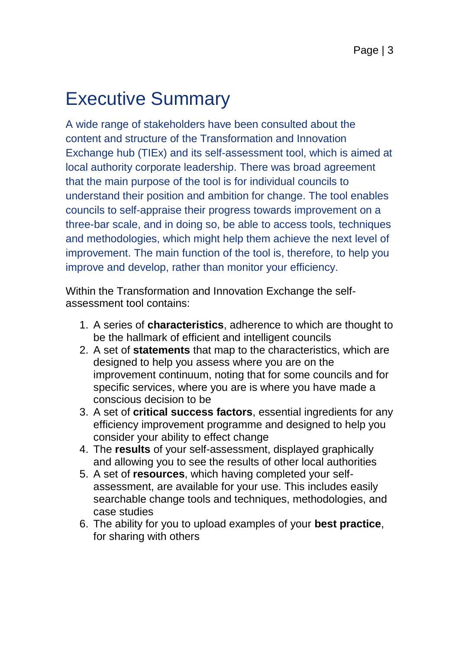# Executive Summary

A wide range of stakeholders have been consulted about the content and structure of the Transformation and Innovation Exchange hub (TIEx) and its self-assessment tool, which is aimed at local authority corporate leadership. There was broad agreement that the main purpose of the tool is for individual councils to understand their position and ambition for change. The tool enables councils to self-appraise their progress towards improvement on a three-bar scale, and in doing so, be able to access tools, techniques and methodologies, which might help them achieve the next level of improvement. The main function of the tool is, therefore, to help you improve and develop, rather than monitor your efficiency.

Within the Transformation and Innovation Exchange the selfassessment tool contains:

- 1. A series of **characteristics**, adherence to which are thought to be the hallmark of efficient and intelligent councils
- 2. A set of **statements** that map to the characteristics, which are designed to help you assess where you are on the improvement continuum, noting that for some councils and for specific services, where you are is where you have made a conscious decision to be
- 3. A set of **critical success factors**, essential ingredients for any efficiency improvement programme and designed to help you consider your ability to effect change
- 4. The **results** of your self-assessment, displayed graphically and allowing you to see the results of other local authorities
- 5. A set of **resources**, which having completed your selfassessment, are available for your use. This includes easily searchable change tools and techniques, methodologies, and case studies
- 6. The ability for you to upload examples of your **best practice**, for sharing with others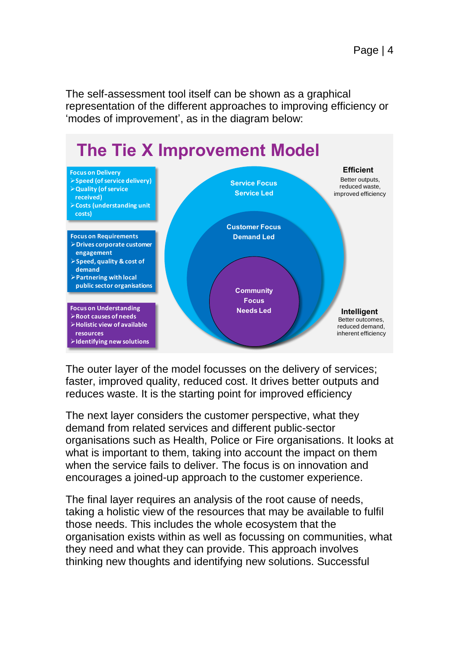The self-assessment tool itself can be shown as a graphical representation of the different approaches to improving efficiency or 'modes of improvement', as in the diagram below:



The outer layer of the model focusses on the delivery of services; faster, improved quality, reduced cost. It drives better outputs and reduces waste. It is the starting point for improved efficiency

The next layer considers the customer perspective, what they demand from related services and different public-sector organisations such as Health, Police or Fire organisations. It looks at what is important to them, taking into account the impact on them when the service fails to deliver. The focus is on innovation and encourages a joined-up approach to the customer experience.

The final layer requires an analysis of the root cause of needs, taking a holistic view of the resources that may be available to fulfil those needs. This includes the whole ecosystem that the organisation exists within as well as focussing on communities, what they need and what they can provide. This approach involves thinking new thoughts and identifying new solutions. Successful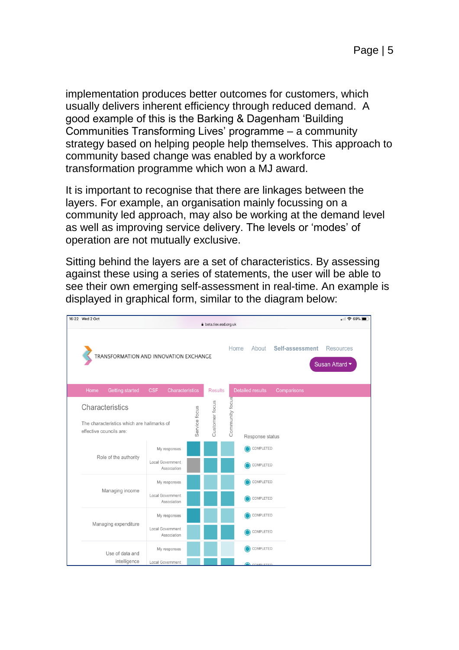implementation produces better outcomes for customers, which usually delivers inherent efficiency through reduced demand. A good example of this is the Barking & Dagenham 'Building Communities Transforming Lives' programme – a community strategy based on helping people help themselves. This approach to community based change was enabled by a workforce transformation programme which won a MJ award.

It is important to recognise that there are linkages between the layers. For example, an organisation mainly focussing on a community led approach, may also be working at the demand level as well as improving service delivery. The levels or 'modes' of operation are not mutually exclusive.

Sitting behind the layers are a set of characteristics. By assessing against these using a series of statements, the user will be able to see their own emerging self-assessment in real-time. An example is displayed in graphical form, similar to the diagram below:

|  | 16:22 Wed 2 Oct                                                                          |                                      |               | beta.tiex.esd.org.uk |                 |                         |                 |                 | $  $ $\approx 69\%$                |
|--|------------------------------------------------------------------------------------------|--------------------------------------|---------------|----------------------|-----------------|-------------------------|-----------------|-----------------|------------------------------------|
|  | TRANSFORMATION AND INNOVATION EXCHANGE                                                   |                                      |               |                      | Home            |                         | About           | Self-assessment | <b>Resources</b><br>Susan Attard • |
|  | <b>Getting started</b><br>Home                                                           | <b>CSF</b><br><b>Characteristics</b> |               | <b>Results</b>       |                 | <b>Detailed results</b> |                 | Comparisons     |                                    |
|  | Characteristics<br>The characteristics which are hallmarks of<br>effective councils are: |                                      | Service focus | Customer focus       | Community focus |                         | Response status |                 |                                    |
|  | Role of the authority                                                                    | My responses<br>Local Government     |               |                      |                 |                         | COMPLETED       |                 |                                    |
|  |                                                                                          | Association                          |               |                      |                 |                         | COMPLETED       |                 |                                    |
|  | Managing income                                                                          | My responses                         |               |                      |                 |                         | COMPLETED       |                 |                                    |
|  |                                                                                          | Local Government<br>Association      |               |                      |                 |                         | COMPLETED       |                 |                                    |
|  |                                                                                          | My responses                         |               |                      |                 |                         | COMPLETED       |                 |                                    |
|  | Managing expenditure                                                                     | Local Government<br>Association      |               |                      |                 |                         | COMPLETED       |                 |                                    |
|  | Use of data and                                                                          | My responses                         |               |                      |                 |                         | COMPLETED       |                 |                                    |
|  | intelligence                                                                             | Local Government                     |               |                      |                 |                         | COMPLETED       |                 |                                    |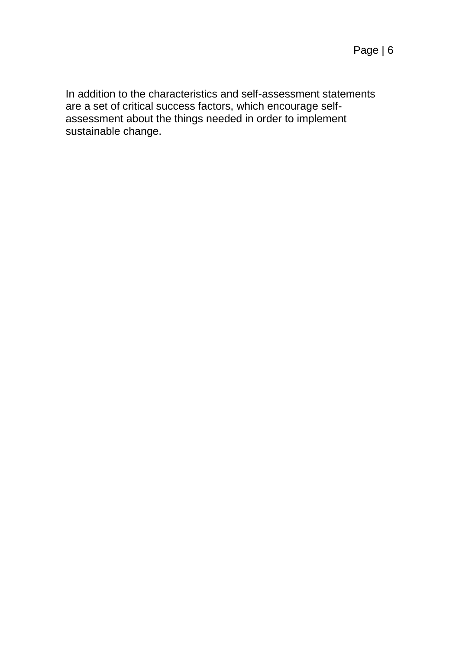In addition to the characteristics and self-assessment statements are a set of critical success factors, which encourage selfassessment about the things needed in order to implement sustainable change.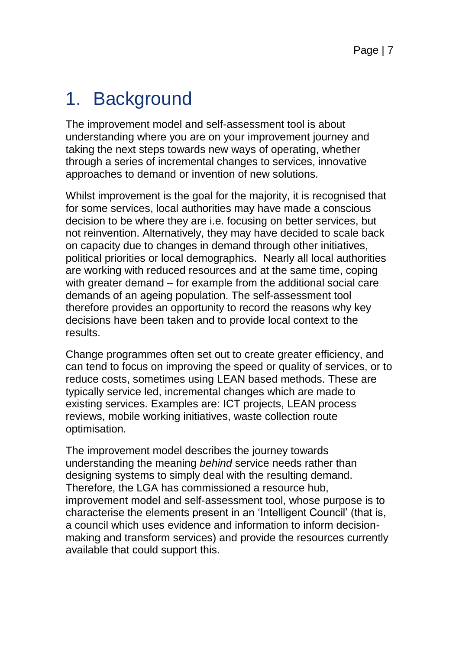# 1. Background

The improvement model and self-assessment tool is about understanding where you are on your improvement journey and taking the next steps towards new ways of operating, whether through a series of incremental changes to services, innovative approaches to demand or invention of new solutions.

Whilst improvement is the goal for the majority, it is recognised that for some services, local authorities may have made a conscious decision to be where they are i.e. focusing on better services, but not reinvention. Alternatively, they may have decided to scale back on capacity due to changes in demand through other initiatives, political priorities or local demographics. Nearly all local authorities are working with reduced resources and at the same time, coping with greater demand – for example from the additional social care demands of an ageing population. The self-assessment tool therefore provides an opportunity to record the reasons why key decisions have been taken and to provide local context to the results.

Change programmes often set out to create greater efficiency, and can tend to focus on improving the speed or quality of services, or to reduce costs, sometimes using LEAN based methods. These are typically service led, incremental changes which are made to existing services. Examples are: ICT projects, LEAN process reviews, mobile working initiatives, waste collection route optimisation.

The improvement model describes the journey towards understanding the meaning *behind* service needs rather than designing systems to simply deal with the resulting demand. Therefore, the LGA has commissioned a resource hub, improvement model and self-assessment tool, whose purpose is to characterise the elements present in an 'Intelligent Council' (that is, a council which uses evidence and information to inform decisionmaking and transform services) and provide the resources currently available that could support this.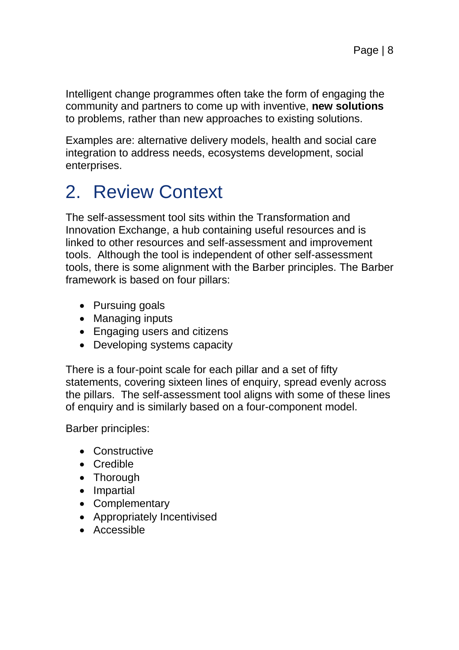Intelligent change programmes often take the form of engaging the community and partners to come up with inventive, **new solutions**  to problems, rather than new approaches to existing solutions.

Examples are: alternative delivery models, health and social care integration to address needs, ecosystems development, social enterprises.

# 2. Review Context

The self-assessment tool sits within the Transformation and Innovation Exchange, a hub containing useful resources and is linked to other resources and self-assessment and improvement tools. Although the tool is independent of other self-assessment tools, there is some alignment with the Barber principles. The Barber framework is based on four pillars:

- Pursuing goals
- Managing inputs
- Engaging users and citizens
- Developing systems capacity

There is a four-point scale for each pillar and a set of fifty statements, covering sixteen lines of enquiry, spread evenly across the pillars. The self-assessment tool aligns with some of these lines of enquiry and is similarly based on a four-component model.

Barber principles:

- Constructive
- Credible
- Thorough
- Impartial
- Complementary
- Appropriately Incentivised
- Accessible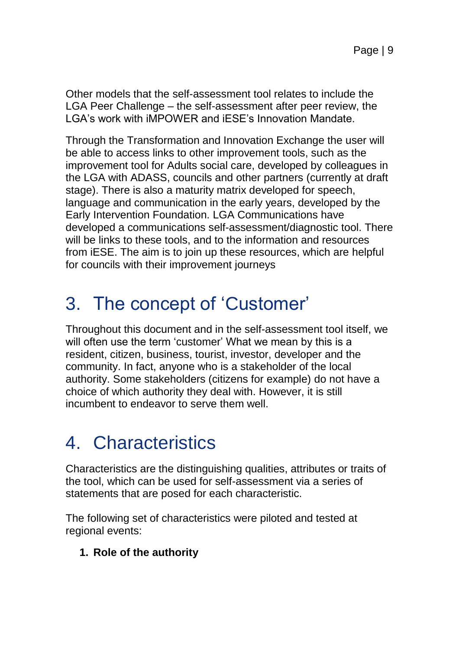Other models that the self-assessment tool relates to include the LGA Peer Challenge – the self-assessment after peer review, the LGA's work with iMPOWER and iESE's Innovation Mandate.

Through the Transformation and Innovation Exchange the user will be able to access links to other improvement tools, such as the improvement tool for Adults social care, developed by colleagues in the LGA with ADASS, councils and other partners (currently at draft stage). There is also a maturity matrix developed for speech, language and communication in the early years, developed by the Early Intervention Foundation. LGA Communications have developed a communications self-assessment/diagnostic tool. There will be links to these tools, and to the information and resources from iESE. The aim is to join up these resources, which are helpful for councils with their improvement journeys

# 3. The concept of 'Customer'

Throughout this document and in the self-assessment tool itself, we will often use the term 'customer' What we mean by this is a resident, citizen, business, tourist, investor, developer and the community. In fact, anyone who is a stakeholder of the local authority. Some stakeholders (citizens for example) do not have a choice of which authority they deal with. However, it is still incumbent to endeavor to serve them well.

# 4. Characteristics

Characteristics are the distinguishing qualities, attributes or traits of the tool, which can be used for self-assessment via a series of statements that are posed for each characteristic.

The following set of characteristics were piloted and tested at regional events:

#### **1. Role of the authority**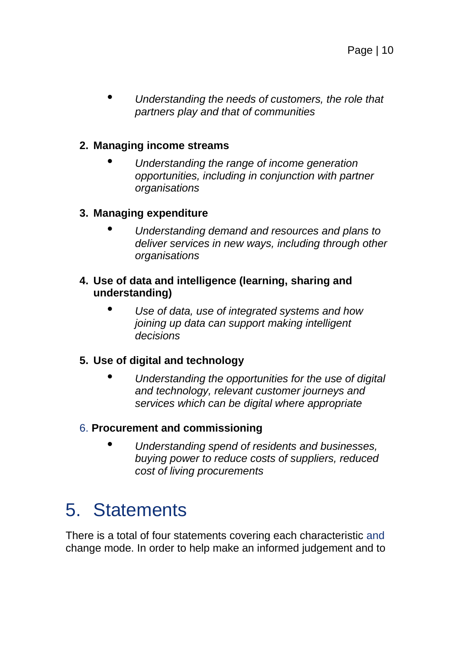• *Understanding the needs of customers, the role that partners play and that of communities*

#### **2. Managing income streams**

• *Understanding the range of income generation opportunities, including in conjunction with partner organisations*

#### **3. Managing expenditure**

• *Understanding demand and resources and plans to deliver services in new ways, including through other organisations*

#### **4. Use of data and intelligence (learning, sharing and understanding)**

• *Use of data, use of integrated systems and how joining up data can support making intelligent decisions*

#### **5. Use of digital and technology**

• *Understanding the opportunities for the use of digital and technology, relevant customer journeys and services which can be digital where appropriate*

#### 6. **Procurement and commissioning**

• *Understanding spend of residents and businesses, buying power to reduce costs of suppliers, reduced cost of living procurements*

### 5. Statements

There is a total of four statements covering each characteristic and change mode. In order to help make an informed judgement and to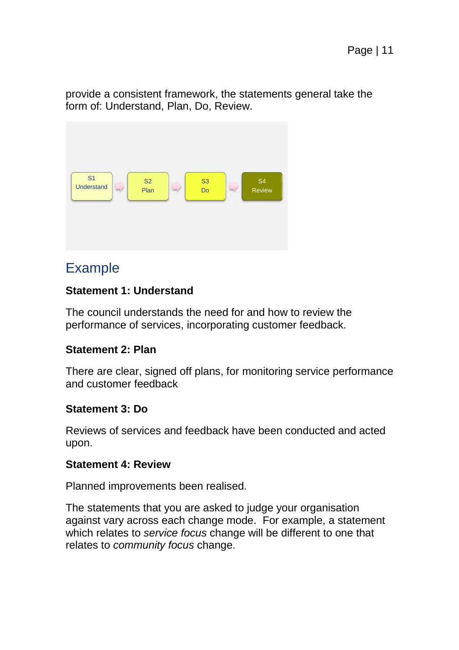provide a consistent framework, the statements general take the form of: Understand, Plan, Do, Review.



#### Example

#### **Statement 1: Understand**

The council understands the need for and how to review the performance of services, incorporating customer feedback.

#### **Statement 2: Plan**

There are clear, signed off plans, for monitoring service performance and customer feedback

#### **Statement 3: Do**

Reviews of services and feedback have been conducted and acted upon.

#### **Statement 4: Review**

Planned improvements been realised.

The statements that you are asked to judge your organisation against vary across each change mode. For example, a statement which relates to *service focus* change will be different to one that relates to *community focus* change.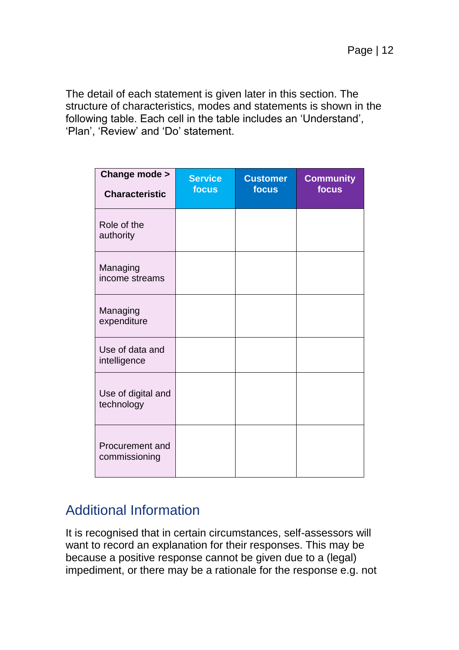The detail of each statement is given later in this section. The structure of characteristics, modes and statements is shown in the following table. Each cell in the table includes an 'Understand', 'Plan', 'Review' and 'Do' statement.

| Change mode ><br><b>Characteristic</b> | <b>Service</b><br>focus | <b>Customer</b><br>focus | <b>Community</b><br>focus |
|----------------------------------------|-------------------------|--------------------------|---------------------------|
| Role of the<br>authority               |                         |                          |                           |
| Managing<br>income streams             |                         |                          |                           |
| Managing<br>expenditure                |                         |                          |                           |
| Use of data and<br>intelligence        |                         |                          |                           |
| Use of digital and<br>technology       |                         |                          |                           |
| Procurement and<br>commissioning       |                         |                          |                           |

#### Additional Information

It is recognised that in certain circumstances, self-assessors will want to record an explanation for their responses. This may be because a positive response cannot be given due to a (legal) impediment, or there may be a rationale for the response e.g. not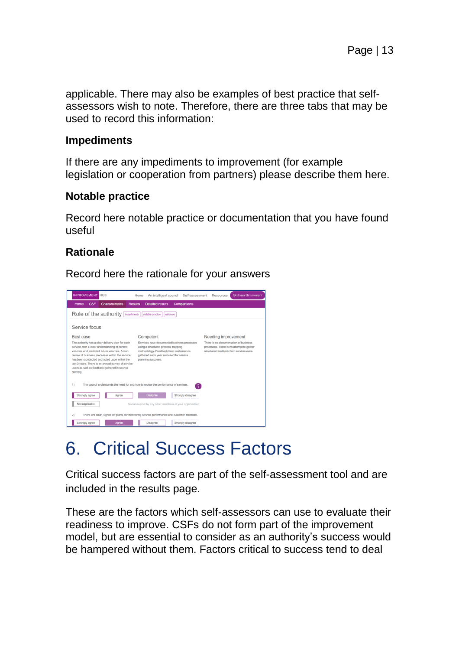applicable. There may also be examples of best practice that selfassessors wish to note. Therefore, there are three tabs that may be used to record this information:

#### **Impediments**

If there are any impediments to improvement (for example legislation or cooperation from partners) please describe them here.

#### **Notable practice**

Record here notable practice or documentation that you have found useful

#### **Rationale**

Record here the rationale for your answers



# 6. Critical Success Factors

Critical success factors are part of the self-assessment tool and are included in the results page.

These are the factors which self-assessors can use to evaluate their readiness to improve. CSFs do not form part of the improvement model, but are essential to consider as an authority's success would be hampered without them. Factors critical to success tend to deal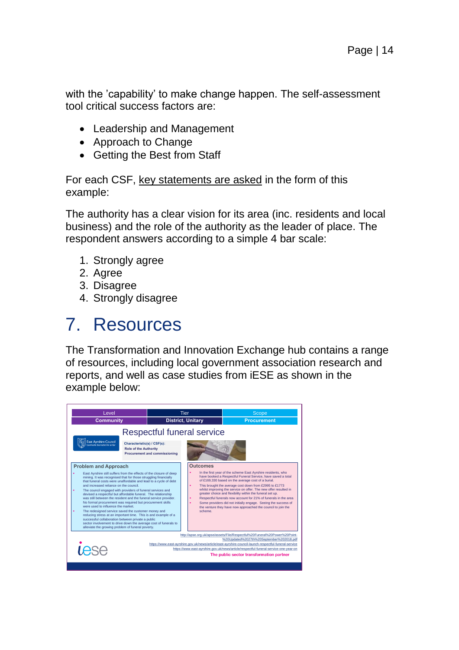with the 'capability' to make change happen. The self-assessment tool critical success factors are:

- Leadership and Management
- Approach to Change
- Getting the Best from Staff

For each CSF, key statements are asked in the form of this example:

The authority has a clear vision for its area (inc. residents and local business) and the role of the authority as the leader of place. The respondent answers according to a simple 4 bar scale:

- 1. Strongly agree
- 2. Agree
- 3. Disagree
- 4. Strongly disagree

### 7. Resources

The Transformation and Innovation Exchange hub contains a range of resources, including local government association research and reports, and well as case studies from iESE as shown in the example below:

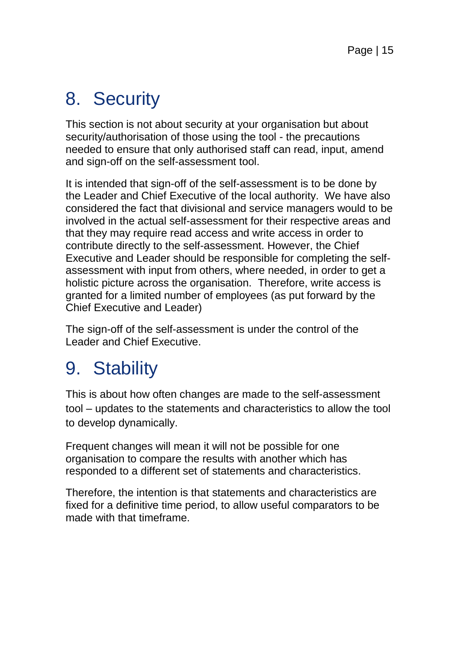# 8. Security

This section is not about security at your organisation but about security/authorisation of those using the tool - the precautions needed to ensure that only authorised staff can read, input, amend and sign-off on the self-assessment tool.

It is intended that sign-off of the self-assessment is to be done by the Leader and Chief Executive of the local authority. We have also considered the fact that divisional and service managers would to be involved in the actual self-assessment for their respective areas and that they may require read access and write access in order to contribute directly to the self-assessment. However, the Chief Executive and Leader should be responsible for completing the selfassessment with input from others, where needed, in order to get a holistic picture across the organisation. Therefore, write access is granted for a limited number of employees (as put forward by the Chief Executive and Leader)

The sign-off of the self-assessment is under the control of the Leader and Chief Executive.

# 9. Stability

This is about how often changes are made to the self-assessment tool – updates to the statements and characteristics to allow the tool to develop dynamically.

Frequent changes will mean it will not be possible for one organisation to compare the results with another which has responded to a different set of statements and characteristics.

Therefore, the intention is that statements and characteristics are fixed for a definitive time period, to allow useful comparators to be made with that timeframe.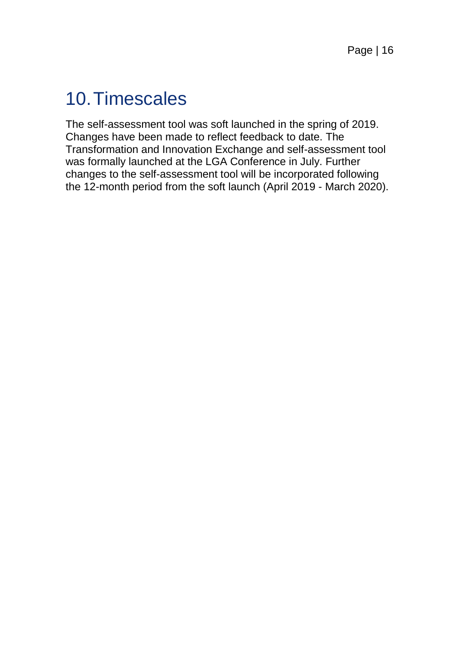### 10.Timescales

The self-assessment tool was soft launched in the spring of 2019. Changes have been made to reflect feedback to date. The Transformation and Innovation Exchange and self-assessment tool was formally launched at the LGA Conference in July. Further changes to the self-assessment tool will be incorporated following the 12-month period from the soft launch (April 2019 - March 2020).